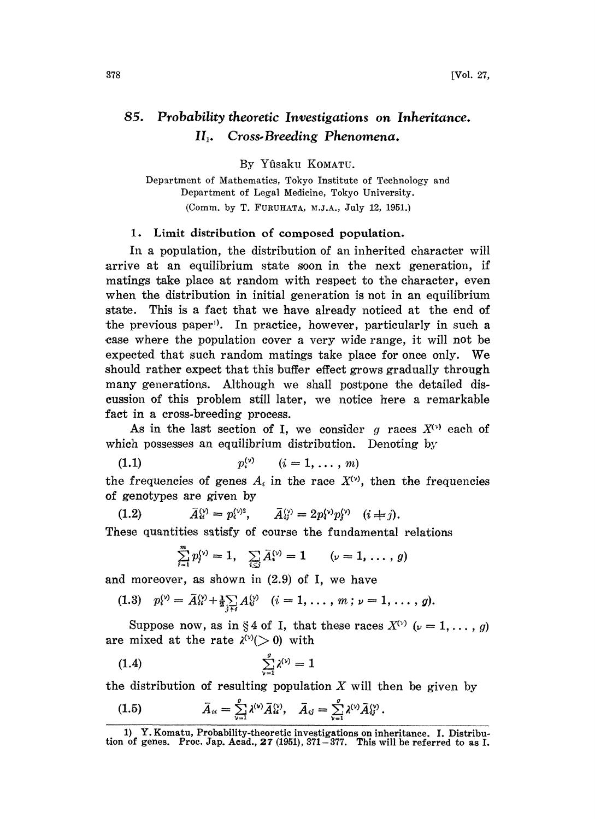## 85. Probability theoretic Investigations on Inheritance. II. Cross.Breeding Phenomena.

By Yfisaku KOMATU.

Department of Mathematics, Tokyo Institute of Technology and Department of Legal Medicine, Tokyo University. (Comm. by T. FURUHATA, M.J.A., July 12, 1951.)

## 1. Limit distribution of composed population.

In a population, the distribution of an inherited character will arrive at an equilibrium state soon in the next generation, if matings take place at random with respect to the character, even when the distribution in initial generation is not in an equilibrium state. This is a fact that we have already noticed at the end of the previous paper). In practice, however, particularly in such a ease where the population cover a very wide range, it will not be expected that such random matings take place for once only. We should rather expect that this buffer effect grows gradually through many generations. Although we shall postpone the detailed discussion of this problem still later, we notice here a remarkable fact in a cross-breeding process.

As in the last section of I, we consider q races  $X^{(v)}$  each of which possesses an equilibrium distribution. Denoting by<br>
(1.1)  $p_i^{(v)}$   $(i = 1, ..., m)$ 

the frequencies of genes  $A_i$  in the race  $X^{(v)}$ , then the frequencies of genotypes are given by

genotypes are given by<br>
(1.2)  $\bar{A}_{u}^{(y)} = p_{i}^{(y)2}, \qquad \bar{A}_{ij}^{(y)} = 2p_{i}^{(y)}p_{j}^{(y)} \quad (i \neq j).$ 

These quantities satisfy of course the fundamental relations

$$
\sum_{i=1}^{m} p_i^{(\nu)} = 1, \quad \sum_{i \leq j} \bar{A}_i^{(\nu)} = 1 \qquad (\nu = 1, \ldots, g)
$$

and moreover, as shown in (2.9) of I, we have

$$
(1.3) \quad p_i^{(v)} = \bar{A}_{ii}^{(v)} + \frac{1}{2} \sum_{j \neq i} A_{ij}^{(v)} \quad (i = 1, \ldots, m \; ; \; \nu = 1, \ldots, g).
$$

Suppose now, as in §4 of I, that these races  $X^{(v)}$  ( $\nu = 1, \ldots, g$ ) are mixed at the rate  $\lambda^{(\nu)}(>0)$  with

$$
(1.4) \qquad \qquad \sum_{\nu=1}^{g} \lambda^{(\nu)} = 1
$$

the distribution of resulting population X will then be given by

(1.5) 
$$
\bar{A}_{ii} = \sum_{\nu=1}^{g} \lambda^{(\nu)} \bar{A}_{ii}^{(\nu)}, \quad \bar{A}_{ij} = \sum_{\nu=1}^{g} \lambda^{(\nu)} \bar{A}_{ij}^{(\nu)}.
$$

<sup>1)</sup> Y. Komatu, Probability-theoretic investigations on inheritance. I. Distribution of genes. Proc. Jap. Acad., 27 (1951), 371-377. This will be referred to as I.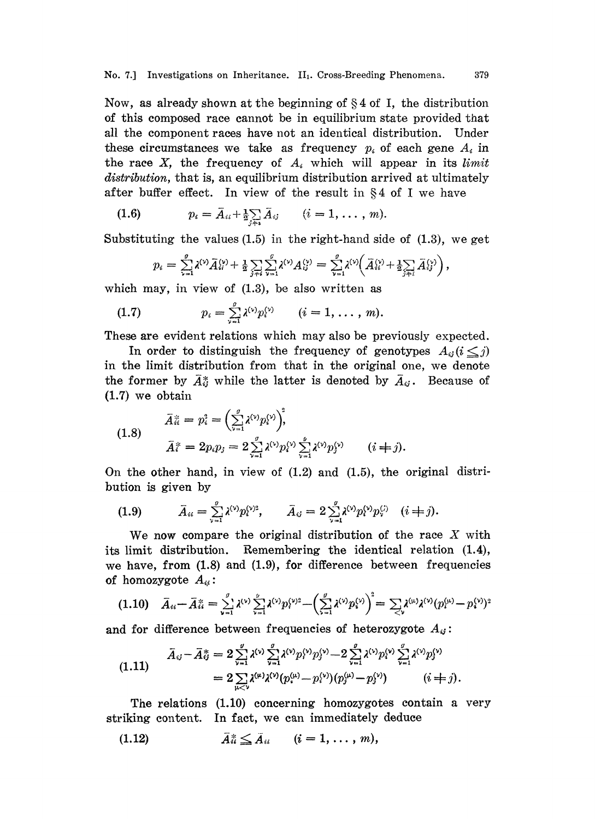Now, as already shown at the beginning of  $\S 4$  of I, the distribution of this composed race canaot be in equilibrium state provided that all the component races have not an identical distribution. Under these circumstances we take as frequency  $p_i$  of each gene  $A_i$  in the race  $X$ , the frequency of  $A_i$  which will appear in its limit distribution, that is, an equilibrium distribution arrived at ultimately after buffer effect. In view of the result in  $§4$  of I we have

(1.6) 
$$
p_i = \bar{A}_{ii} + \frac{1}{2} \sum_{j \neq i} \bar{A}_{ij} \qquad (i = 1, ..., m).
$$

Substituting the values (1.5) in the right-hand side of (1.3), we get

$$
p_i = A_{ii} + \frac{1}{2} \sum_{j \neq i} A_{ij} \qquad (i = 1, ..., m).
$$
  
uting the values (1.5) in the right-hand side of (1.3),  

$$
p_i = \sum_{i=1}^g \lambda^{(i)} \bar{A}_{ii}^{(i)} + \frac{1}{2} \sum_{j \neq i} \sum_{\nu=1}^g \lambda^{(\nu)} A_{ij}^{(\nu)} = \sum_{\nu=1}^g \lambda^{(\nu)} \Big( \bar{A}_{ii}^{(\nu)} + \frac{1}{2} \sum_{j \neq i} \bar{A}_{ij}^{(\nu)} \Big),
$$

which may, in view of  $(1.3)$ , be also written as

(1.7) 
$$
p_i = \sum_{\nu=1}^g \lambda^{(\nu)} p_i^{(\nu)} \qquad (i = 1, \ldots, m).
$$

These are evident relations which may also be previously expected.

In order to distinguish the frequency of genotypes  $A_{ij}$  ( $i \leq j$ ) in the limit distribution from that in the original one, we denote the former by  $\bar{A}_{ij}^*$  while the latter is denoted by  $\bar{A}_{ij}$ . Because of (1.7) we obtain

(1.8) 
$$
\bar{A}_{ii}^* = p_i^2 = \left(\sum_{\nu=1}^g \lambda^{(\nu)} p_i^{(\nu)}\right)_i^2, \bar{A}_i^* = 2p_i p_j = 2 \sum_{\nu=1}^g \lambda^{(\nu)} p_i^{(\nu)} \sum_{\nu=1}^g \lambda^{(\nu)} p_j^{(\nu)} \qquad (i \neq j).
$$

On the other hand, in view of  $(1.2)$  and  $(1.5)$ , the original distribution is given by

(1.9) 
$$
\bar{A}_{ii} = \sum_{\nu=1}^{g} \lambda^{(\nu)} p_i^{(\nu)2}, \qquad \bar{A}_{ij} = 2 \sum_{\nu=1}^{g} \lambda^{(\nu)} p_i^{(\nu)} p_i^{(j)} \quad (i \neq j).
$$

We now compare the original distribution of the race  $X$  with its limit distribution. Remembering the identical relation (1.4), we have, from (1.8) and (1.9), for difference between frequencies of homozygote  $A_{ii}$ :

$$
(1.10) \quad \bar{A}_{ii} - \bar{A}_{ii}^* = \sum_{\nu=1}^g \lambda^{(\nu)} \sum_{\nu=1}^g \lambda^{(\nu)} p_i^{(\nu)^2} - \left(\sum_{\nu=1}^g \lambda^{(\nu)} p_i^{(\nu)}\right)^2 = \sum_{\nu} \lambda^{(\mu)} \lambda^{(\nu)} (p_i^{(\mu)} - p_i^{(\nu)})^2
$$

and for difference between frequencies of heterozygote  $A_{ij}$ :

$$
(1.11) \qquad \bar{A}_{ij} - \bar{A}_{ij}^* = 2 \sum_{\nu=1}^g \lambda^{(\nu)} \sum_{\nu=1}^g \lambda^{(\nu)} p_i^{(\nu)} p_j^{(\nu)} - 2 \sum_{\nu=1}^g \lambda^{(\nu)} p_i^{(\nu)} \sum_{\nu=1}^g \lambda^{(\nu)} p_j^{(\nu)} \\ = 2 \sum_{\mu < \nu} \lambda^{(\mu)} \lambda^{(\nu)} (p_i^{(\mu)} - p_i^{(\nu)}) (p_j^{(\mu)} - p_j^{(\nu)}) \qquad (i \neq j).
$$

The relations (1.10) concerning homozygotes contain a very striking content. In fact, we can immediately deduce

$$
(1.12) \qquad \qquad \bar{A}_{ii}^* \leq \bar{A}_{ii} \qquad (i=1,\ldots,m),
$$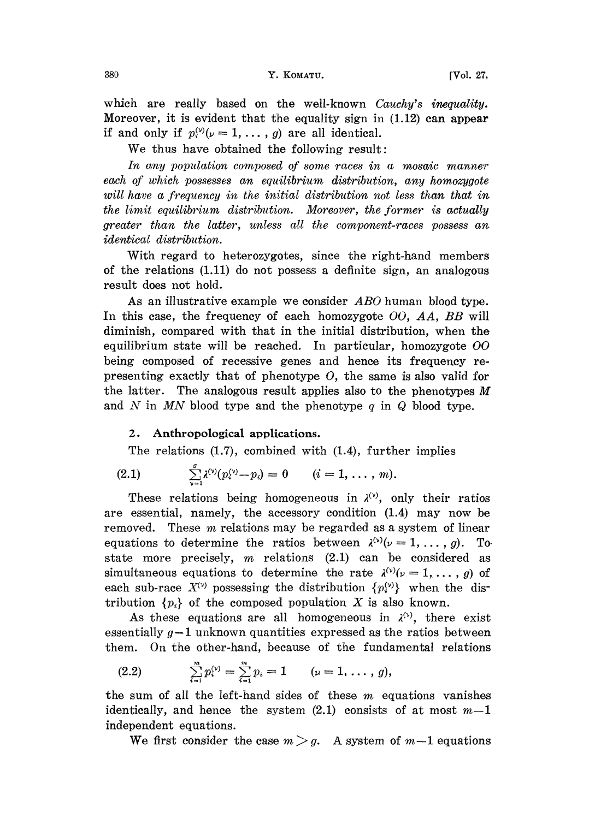380 **Y. KOMATU.** [Vol. 27,

which are really based on the well-known Cauchy's inequality. Moreover, it is evident that the equality sign in (1.12) can appear if and only if  $p_i^{(v)}(v = 1, \ldots, g)$  are all identical.

We thus have obtained the following result:

In any population composed of some races in a mosaic manner each of which possesses an equilibrium distribution, any homozygote will have a frequency in the initial distribution not less than that in the limit equilibrium distribution. Moreover, the former is actually greater than the latter, unless all the component-races possess an identical distribution.

With regard to heterozygotes, since the right-hand members of the relations (1.11) do not possess a definite sign, an analogous result does not hold.

As an illustrative example we consider ABO human blood type. In this case, the frequency of each homozygote  $OO$ , AA, BB will diminish, compared with that in the initial distribution, when the equilibrium state will be reached. In particular, homozygote  $OO$ being composed of recessive genes and hence its frequency representing exactly that of phenotype  $O$ , the same is also valid for the latter. The analogous result applies also to the phenotypes  $M$ and  $N$  in  $MN$  blood type and the phenotype  $q$  in  $Q$  blood type.

## 2. Anthropological applications.

The relations (1.7), combined with (1.4), further implies

(2.1) 
$$
\sum_{\nu=1}^g \lambda^{(\nu)}(p_i^{(\nu)}-p_i)=0 \qquad (i=1,\ldots,m).
$$

These relations being homogeneous in  $\lambda^{(v)}$ , only their ratios are essential, namely, the accessory condition (1.4) may now be removed. These *m* relations may be regarded as a system of linear equations to determine the ratios between  $\lambda^{(v)}(\nu = 1, \ldots, g)$ . To state more precisely,  $m$  relations (2.1) can be considered as simultaneous equations to determine the rate  $\lambda^{(v)}(\nu=1,\ldots,g)$  of each sub-race  $X^{(v)}$  possessing the distribution  $\{p_i^{(v)}\}$  when the distribution  $\{p_i\}$  of the composed population X is also known.

As these equations are all homogeneous in  $\lambda^{(1)}$ , there exist essentially  $g-1$  unknown quantities expressed as the ratios between them. On the other-hand, because of the fundamental relations

(2.2) 
$$
\sum_{i=1}^{m} p_i^{(\nu)} = \sum_{i=1}^{m} p_i = 1 \qquad (\nu = 1, \ldots, g),
$$

the sum of all the left-hand sides of these  $m$  equations vanishes identically, and hence the system  $(2.1)$  consists of at most  $m-1$ independent equations.

We first consider the case  $m > g$ . A system of  $m-1$  equations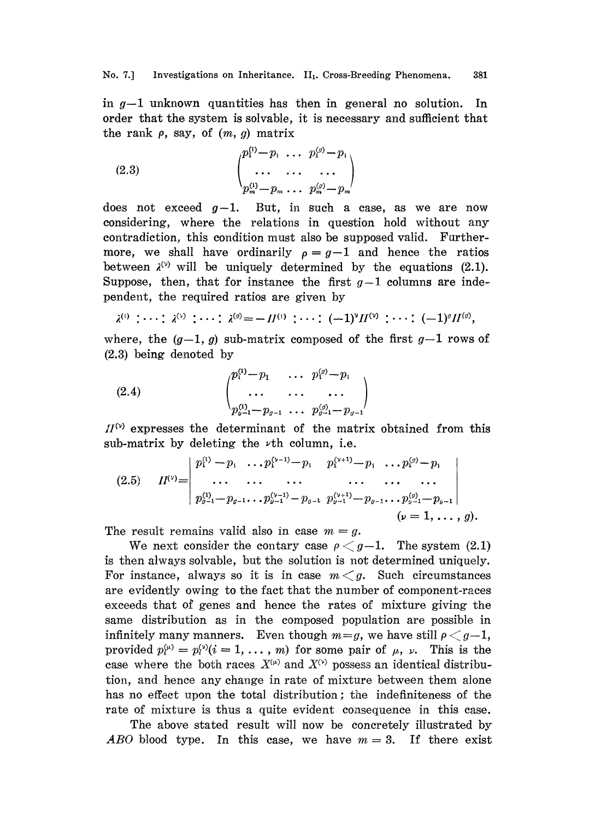in  $g-1$  unknown quantities has then in general no solution. In order that the system is solvable, it is necessary and sufficient that the rank  $\rho$ , say, of  $(m, g)$  matrix

(2.3) 
$$
\begin{pmatrix} p_1^{(1)} - p_1 & \cdots & p_1^{(g)} - p_1 \\ \cdots & \cdots & \cdots \\ p_m^{(1)} - p_m & \cdots & p_m^{(g)} - p_m \end{pmatrix}
$$

does not exceed  $g-1$ . But, in such a case, as we are now considering, where the relations in question hold without any contradiction, this condition must also be supposed valid. Furthermore, we shall have ordinarily  $\rho = g-1$  and hence the ratios between  $\lambda^{(v)}$  will be uniquely determined by the equations (2.1). Suppose, then, that for instance the first  $g-1$  columns are independent, the required ratios are givea by

$$
\lambda^{(1)} : \cdots : \lambda^{(2)} : \cdots : \lambda^{(g)} = -H^{(1)} : \cdots : (-1)^{g} H^{(2)} : \cdots : (-1)^{g} H^{(g)},
$$

where, the  $(g-1, g)$  sub-matrix composed of the first  $g-1$  rows of (2.3) being denoted by

(2.4) 
$$
\begin{pmatrix} p_1^{(1)}-p_1 & \cdots & p_1^{(p)}-p_1 \\ \cdots & \cdots & \cdots \\ p_{y-1}^{(1)}-p_{y-1} & \cdots & p_{y-1}^{(g)}-p_{y-1} \end{pmatrix}
$$

 $H^{(\nu)}$  expresses the determinant of the matrix obtained from this sub-matrix by deleting the  $\nu$ th column, i.e.

$$
(2.5) \qquad II^{(v)} = \begin{vmatrix} p_1^{(1)} - p_1 & \dots & p_1^{(v-1)} - p_1 & p_1^{(v+1)} - p_1 & \dots & p_n^{(g)} - p_1 \\ \dots & \dots & \dots & \dots & \dots & \dots \\ p_{g-1}^{(1)} - p_{g-1} & \dots & p_{g-1}^{(v-1)} - p_{g-1} & p_{g-1}^{(v+1)} - p_{g-1} & \dots & p_{g-1}^{(g)} - p_{g-1} \\ \dots & \dots & \dots & \dots & \dots \\ p_{g-1}^{(1)} - p_{g-1} & \dots & p_{g-1}^{(v+1)} - p_{g-1} & \dots & p_{g-1}^{(g)} - p_{g-1} \end{vmatrix}
$$
\n
$$
(p = 1, \dots, g).
$$

The result remains valid also in case  $m-g$ .

We next consider the contary case  $\rho < g-1$ . The system (2.1) is then always solvable, but the solution is not determined uniquely. For instance, always so it is in case  $m < q$ . Such circumstances are evidently owing to the fact that the number of component-races exceeds that of genes and hence the rates of mixture giving the same distribution as in the composed population are possible in infinitely many manners. Even though  $m=g$ , we have still  $\rho < g-1$ , provided  $p_i^{(\mu)} = p_i^{(\nu)}(i = 1, \ldots, m)$  for some pair of  $\mu$ ,  $\nu$ . This is the case where the both races  $X^{(\mu)}$  and  $X^{(\nu)}$  possess an identical distribution, and hence any change in rate of mixture between them alone has no effect upon the total distribution; the indefiniteness of the rate of mixture is thus a quite evident consequence in this case.

The above stated result will now be concretely illustrated by ABO blood type. In this case, we have  $m = 3$ . If there exist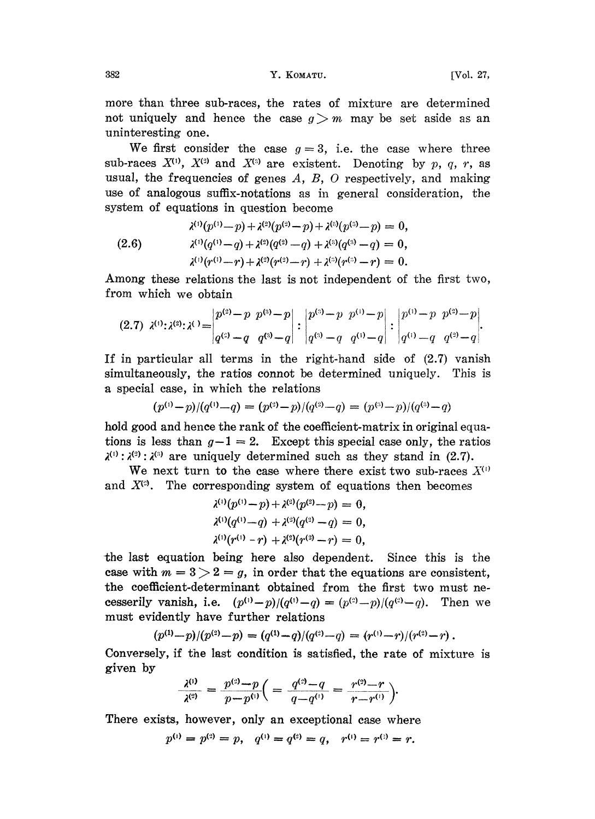more than three sub-races, the rates of mixture are determined not uniquely and hence the case  $g > m$  may be set aside as an uninteresting one.

We first consider the case  $g = 3$ , i.e. the case where three sub-races  $X^{(1)}$ ,  $X^{(2)}$  and  $X^{(3)}$  are existent. Denoting by p, q, r, as usual, the frequencies of genes  $A, B, O$  respectively, and making use of analogous suffix-notations as in general consideration, the system of equations in question become

$$
\begin{aligned}\n\lambda^{(1)}(p^{(1)}-p) + \lambda^{(2)}(p^{(2)}-p) + \lambda^{(3)}(p^{(3)}-p) &= 0, \\
\lambda^{(1)}(q^{(1)}-q) + \lambda^{(2)}(q^{(2)}-q) + \lambda^{(3)}(q^{(3)}-q) &= 0, \\
\lambda^{(1)}(r^{(1)}-r) + \lambda^{(2)}(r^{(2)}-r) + \lambda^{(3)}(r^{(3)}-r) &= 0.\n\end{aligned}
$$

Among these relations the last is not independent of the first two, from which we obtain

$$
(2.7) \ \lambda^{(1)} : \lambda^{(2)} : \lambda^{(3)} = \begin{vmatrix} p^{(2)} - p & p^{(3)} - p \\ q^{(2)} - q & q^{(3)} - q \end{vmatrix} : \begin{vmatrix} p^{(3)} - p & p^{(1)} - p \\ q^{(3)} - q & q^{(1)} - q \end{vmatrix} : \begin{vmatrix} p^{(1)} - p & p^{(2)} - p \\ q^{(1)} - q & q^{(2)} - q \end{vmatrix}.
$$

If in particular all terms in the right-hand side of  $(2.7)$  vanish simultaneously, the ratios connot be determined uniquely. This is a special case, in which the relations

$$
(p^{(1)}-p)/(q^{(1)}-q) = (p^{(2)}-p)/(q^{(2)}-q) = (p^{(3)}-p)/(q^{(3)}-q)
$$

hold good and hence the rank of the coefficient-matrix in original equations is less than  $g-1=2$ . Except this special case only, the ratios  $\lambda^{(1)}$ :  $\lambda^{(2)}$ :  $\lambda^{(3)}$  are uniquely determined such as they stand in (2.7).

We next turn to the case where there exist two sub-races  $X^{(1)}$ and  $X^{(3)}$ . The corresponding system of equations then becomes

$$
\begin{aligned}\n\lambda^{(1)}(p^{(1)}-p) + \lambda^{(2)}(p^{(2)}-p) &= 0, \\
\lambda^{(1)}(q^{(1)}-q) + \lambda^{(2)}(q^{(2)}-q) &= 0, \\
\lambda^{(1)}(r^{(1)}-r) + \lambda^{(2)}(r^{(2)}-r) &= 0,\n\end{aligned}
$$

the last equation being here also dependent. Since this is the case with  $m = 3 > 2 = g$ , in order that the equations are consistent, the coefficient-determinant obtained from the first two must necesserily vanish, i.e.  $(p^{(1)}-p)/(q^{(1)}-q) = (p^{(2)}-p)/(q^{(2)}-q)$ . Then we must evidently have further relations

$$
(p^{(1)}-p)/(p^{(2)}-p)=(q^{(1)}-q)/(q^{(2)}-q)=(r^{(1)}-r)/(r^{(2)}-r).
$$

Conversely, if the last condition is satisfied, the rate of mixture is given by

$$
\frac{\lambda^{(1)}}{\lambda^{(2)}} = \frac{p^{(2)} - p}{p - p^{(1)}} \bigg( = \frac{q^{(2)} - q}{q - q^{(1)}} = \frac{r^{(2)} - r}{r - r^{(1)}} \bigg).
$$

There exists, however, only an exceptional case where

$$
p^{(1)} = p^{(2)} = p
$$
,  $q^{(1)} = q^{(2)} = q$ ,  $r^{(1)} = r^{(2)} = r$ .